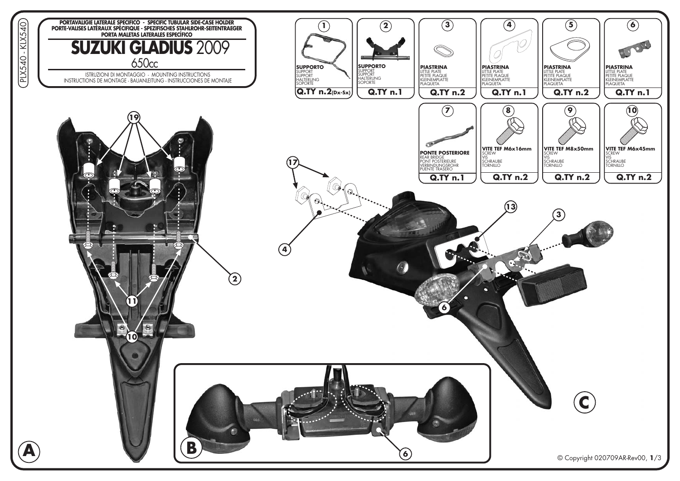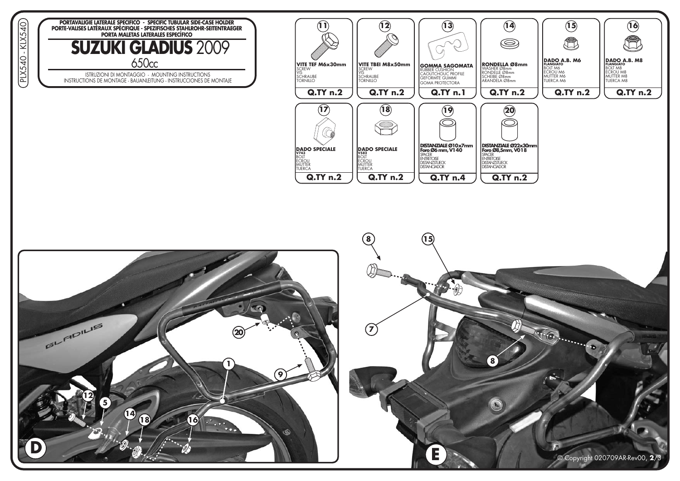

ISTRUZIONI DI MONTAGGIO - MOUNTING INSTRUCTIONS<br>INSTRUCTIONS DE MONTAGE - BAUANLEITUNG - INSTRUCCIONES DE MONTAJE